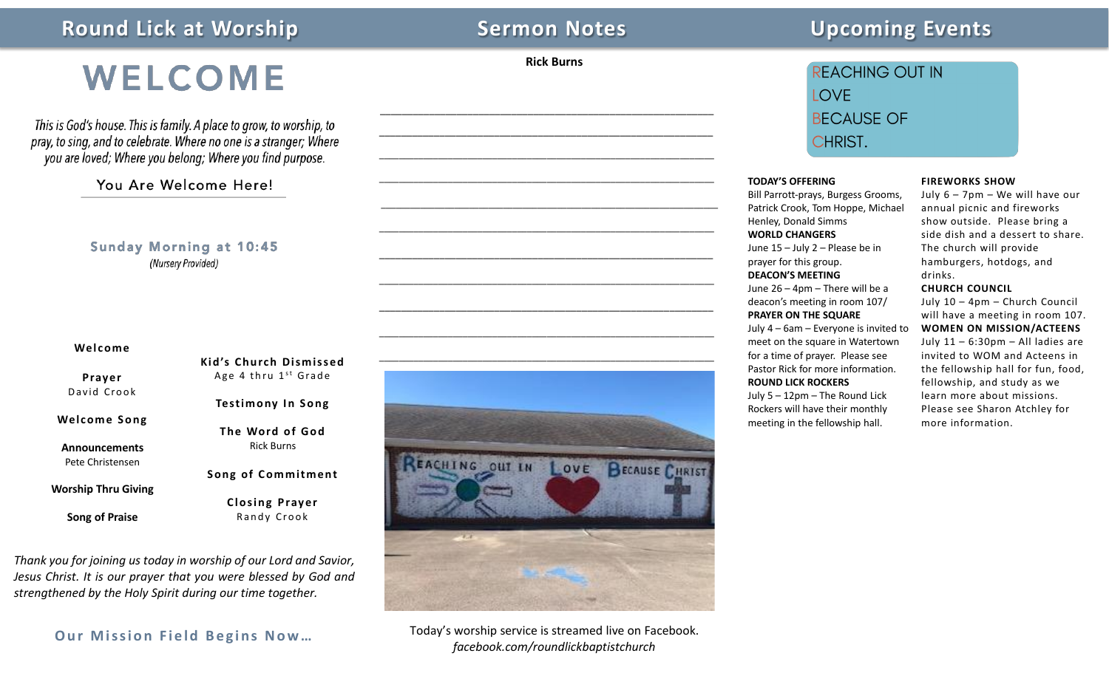## **Round Lick at Worship Sermon Notes** Sermon Notes Upcoming Events

**Rick Burns**

\_\_\_\_\_\_\_\_\_\_\_\_\_\_\_\_\_\_\_\_\_\_\_\_\_\_\_\_\_\_\_\_\_\_\_\_\_\_\_\_\_\_\_\_\_\_\_\_\_\_\_\_\_\_\_\_\_\_\_\_\_ \_\_\_\_\_\_\_\_\_\_\_\_\_\_\_\_\_\_\_\_\_\_\_\_\_\_\_\_\_\_\_\_\_\_\_\_\_\_\_\_\_\_\_\_\_\_\_\_\_\_\_\_\_\_\_\_\_\_\_\_\_

\_\_\_\_\_\_\_\_\_\_\_\_\_\_\_\_\_\_\_\_\_\_\_\_\_\_\_\_\_\_\_\_\_\_\_\_\_\_\_\_\_\_\_\_\_\_\_\_\_\_\_\_\_\_\_\_\_\_\_\_\_\_\_\_\_\_\_\_

\_\_\_\_\_\_\_\_\_\_\_\_\_\_\_\_\_\_\_\_\_\_\_\_\_\_\_\_\_\_\_\_\_\_\_\_\_\_\_\_\_\_\_\_\_\_\_\_\_\_\_\_\_\_\_\_\_\_\_\_\_\_\_\_\_\_\_\_

\_\_\_\_\_\_\_\_\_\_\_\_\_\_\_\_\_\_\_\_\_\_\_\_\_\_\_\_\_\_\_\_\_\_\_\_\_\_\_\_\_\_\_\_\_\_\_\_\_\_\_\_\_\_\_\_\_\_\_\_\_\_\_\_\_\_\_\_\_

\_\_\_\_\_\_\_\_\_\_\_\_\_\_\_\_\_\_\_\_\_\_\_\_\_\_\_\_\_\_\_\_\_\_\_\_\_\_\_\_\_\_\_\_\_\_\_\_\_\_\_\_\_\_\_\_\_\_\_\_\_\_\_\_\_\_\_\_

\_\_\_\_\_\_\_\_\_\_\_\_\_\_\_\_\_\_\_\_\_\_\_\_\_\_\_\_\_\_\_\_\_\_\_\_\_\_\_\_\_\_\_\_\_\_\_\_\_\_\_\_\_\_\_\_\_\_\_\_\_

\_\_\_\_\_\_\_\_\_\_\_\_\_\_\_\_\_\_\_\_\_\_\_\_\_\_\_\_\_\_\_\_\_\_\_\_\_\_\_\_\_\_\_\_\_\_\_\_\_\_\_\_\_\_\_\_\_\_\_\_\_\_\_\_\_\_\_\_

\_\_\_\_\_\_\_\_\_\_\_\_\_\_\_\_\_\_\_\_\_\_\_\_\_\_\_\_\_\_\_\_\_\_\_\_\_\_\_\_\_\_\_\_\_\_\_\_\_\_\_\_\_\_\_\_\_\_\_\_\_

\_\_\_\_\_\_\_\_\_\_\_\_\_\_\_\_\_\_\_\_\_\_\_\_\_\_\_\_\_\_\_\_\_\_\_\_\_\_\_\_\_\_\_\_\_\_\_\_\_\_\_\_\_\_\_\_\_\_\_\_\_\_\_\_\_\_\_\_

i

## WELCOME

This is God's house. This is family. A place to grow, to worship, to pray, to sing, and to celebrate. Where no one is a stranger; Where you are loved; Where you belong; Where you find purpose.

## You Are Welcome Here!

**Sunday Morning at 10:45** (Nursery Provided)

#### **Welcome**

**Prayer** David Crook

**Welcome Song**

**Announcements** Pete Christensen

**Worship Thru Giving**

**Song of Praise**

Age 4 thru  $1<sup>st</sup>$  Grade **Testimony** In Song

**Kid's Church Dismissed**

**Song of Commitment**

**Closing Prayer** Randy Crook

*Thank you for joining us today in worship of our Lord and Savior, Jesus Christ. It is our prayer that you were blessed by God and strengthened by the Holy Spirit during our time together.*

**Our Mission Field Begins Now…**

**The Word o f God** Rick Burns



Today's worship service is streamed live on Facebook. *facebook.com/roundlickbaptistchurch*

## **REACHING OUT IN LOVE BECAUSE OF** CHRIST.

#### **TODAY'S OFFERING**

Bill Parrott-prays, Burgess Grooms, Patrick Crook, Tom Hoppe, Michael Henley, Donald Simms **WORLD CHANGERS** June 15 – July 2 – Please be in prayer for this group. **DEACON'S MEETING** June 26 – 4pm – There will be a deacon's meeting in room 107/ **PRAYER ON THE SQUARE** July 4 – 6am – Everyone is invited to meet on the square in Watertown for a time of prayer. Please see Pastor Rick for more information. **ROUND LICK ROCKERS** July 5 – 12pm – The Round Lick Rockers will have their monthly meeting in the fellowship hall.

#### **FIREWORKS SHOW**

July 6 – 7pm – We will have our annual picnic and fireworks show outside. Please bring a side dish and a dessert to share. The church will provide hamburgers, hotdogs, and drinks.

#### **CHURCH COUNCIL**

July 10 – 4pm – Church Council will have a meeting in room 107. **WOMEN ON MISSION/ACTEENS** July 11 – 6:30pm – All ladies are invited to WOM and Acteens in the fellowship hall for fun, food, fellowship, and study as we learn more about missions. Please see Sharon Atchley for more information.